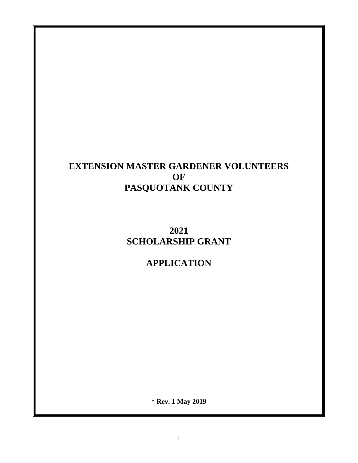# **EXTENSION MASTER GARDENER VOLUNTEERS OF PASQUOTANK COUNTY**

**2021 SCHOLARSHIP GRANT** 

**APPLICATION**

**\* Rev. 1 May 2019**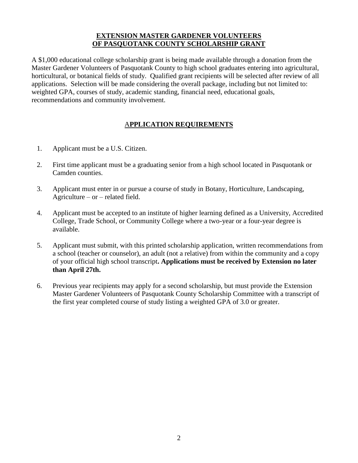#### **EXTENSION MASTER GARDENER VOLUNTEERS OF PASQUOTANK COUNTY SCHOLARSHIP GRANT**

A \$1,000 educational college scholarship grant is being made available through a donation from the Master Gardener Volunteers of Pasquotank County to high school graduates entering into agricultural, horticultural, or botanical fields of study. Qualified grant recipients will be selected after review of all applications. Selection will be made considering the overall package, including but not limited to: weighted GPA, courses of study, academic standing, financial need, educational goals, recommendations and community involvement.

## A**PPLICATION REQUIREMENTS**

- 1. Applicant must be a U.S. Citizen.
- 2. First time applicant must be a graduating senior from a high school located in Pasquotank or Camden counties.
- 3. Applicant must enter in or pursue a course of study in Botany, Horticulture, Landscaping, Agriculture – or – related field.
- 4. Applicant must be accepted to an institute of higher learning defined as a University, Accredited College, Trade School, or Community College where a two-year or a four-year degree is available.
- 5. Applicant must submit, with this printed scholarship application, written recommendations from a school (teacher or counselor), an adult (not a relative) from within the community and a copy of your official high school transcript**. Applications must be received by Extension no later than April 27th.**
- 6. Previous year recipients may apply for a second scholarship, but must provide the Extension Master Gardener Volunteers of Pasquotank County Scholarship Committee with a transcript of the first year completed course of study listing a weighted GPA of 3.0 or greater.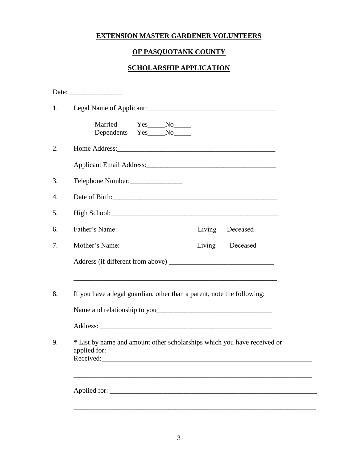## **EXTENSION MASTER GARDENER VOLUNTEERS**

## **OF PASQUOTANK COUNTY**

# **SCHOLARSHIP APPLICATION**

| Married<br>$Yes$ No<br>Dependents Yes____No_____                                                     |
|------------------------------------------------------------------------------------------------------|
|                                                                                                      |
|                                                                                                      |
| Telephone Number:                                                                                    |
|                                                                                                      |
|                                                                                                      |
| Father's Name: Living Deceased                                                                       |
| Mother's Name: Living Deceased                                                                       |
|                                                                                                      |
| If you have a legal guardian, other than a parent, note the following:                               |
|                                                                                                      |
|                                                                                                      |
| * List by name and amount other scholarships which you have received or<br>applied for:<br>Received: |
|                                                                                                      |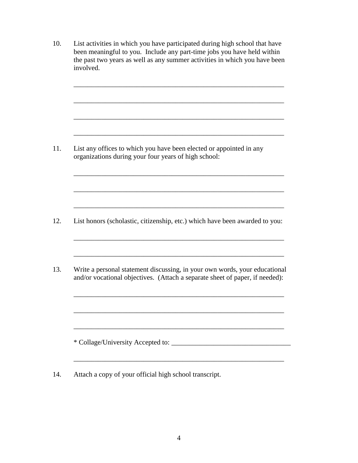- 10. List activities in which you have participated during high school that have been meaningful to you. Include any part-time jobs you have held within the past two years as well as any summer activities in which you have been involved. \_\_\_\_\_\_\_\_\_\_\_\_\_\_\_\_\_\_\_\_\_\_\_\_\_\_\_\_\_\_\_\_\_\_\_\_\_\_\_\_\_\_\_\_\_\_\_\_\_\_\_\_\_\_\_\_\_\_\_\_ \_\_\_\_\_\_\_\_\_\_\_\_\_\_\_\_\_\_\_\_\_\_\_\_\_\_\_\_\_\_\_\_\_\_\_\_\_\_\_\_\_\_\_\_\_\_\_\_\_\_\_\_\_\_\_\_\_\_\_\_ \_\_\_\_\_\_\_\_\_\_\_\_\_\_\_\_\_\_\_\_\_\_\_\_\_\_\_\_\_\_\_\_\_\_\_\_\_\_\_\_\_\_\_\_\_\_\_\_\_\_\_\_\_\_\_\_\_\_\_\_ 11. List any offices to which you have been elected or appointed in any organizations during your four years of high school: \_\_\_\_\_\_\_\_\_\_\_\_\_\_\_\_\_\_\_\_\_\_\_\_\_\_\_\_\_\_\_\_\_\_\_\_\_\_\_\_\_\_\_\_\_\_\_\_\_\_\_\_\_\_\_\_\_\_\_\_ \_\_\_\_\_\_\_\_\_\_\_\_\_\_\_\_\_\_\_\_\_\_\_\_\_\_\_\_\_\_\_\_\_\_\_\_\_\_\_\_\_\_\_\_\_\_\_\_\_\_\_\_\_\_\_\_\_\_\_\_ \_\_\_\_\_\_\_\_\_\_\_\_\_\_\_\_\_\_\_\_\_\_\_\_\_\_\_\_\_\_\_\_\_\_\_\_\_\_\_\_\_\_\_\_\_\_\_\_\_\_\_\_\_\_\_\_\_\_\_\_ 12. List honors (scholastic, citizenship, etc.) which have been awarded to you: \_\_\_\_\_\_\_\_\_\_\_\_\_\_\_\_\_\_\_\_\_\_\_\_\_\_\_\_\_\_\_\_\_\_\_\_\_\_\_\_\_\_\_\_\_\_\_\_\_\_\_\_\_\_\_\_\_\_\_\_  $\mathcal{L}_\text{max} = \mathcal{L}_\text{max} = \mathcal{L}_\text{max} = \mathcal{L}_\text{max} = \mathcal{L}_\text{max} = \mathcal{L}_\text{max} = \mathcal{L}_\text{max} = \mathcal{L}_\text{max} = \mathcal{L}_\text{max} = \mathcal{L}_\text{max} = \mathcal{L}_\text{max} = \mathcal{L}_\text{max} = \mathcal{L}_\text{max} = \mathcal{L}_\text{max} = \mathcal{L}_\text{max} = \mathcal{L}_\text{max} = \mathcal{L}_\text{max} = \mathcal{L}_\text{max} = \mathcal{$ 13. Write a personal statement discussing, in your own words, your educational and/or vocational objectives. (Attach a separate sheet of paper, if needed): \_\_\_\_\_\_\_\_\_\_\_\_\_\_\_\_\_\_\_\_\_\_\_\_\_\_\_\_\_\_\_\_\_\_\_\_\_\_\_\_\_\_\_\_\_\_\_\_\_\_\_\_\_\_\_\_\_\_\_\_ \_\_\_\_\_\_\_\_\_\_\_\_\_\_\_\_\_\_\_\_\_\_\_\_\_\_\_\_\_\_\_\_\_\_\_\_\_\_\_\_\_\_\_\_\_\_\_\_\_\_\_\_\_\_\_\_\_\_\_\_ \_\_\_\_\_\_\_\_\_\_\_\_\_\_\_\_\_\_\_\_\_\_\_\_\_\_\_\_\_\_\_\_\_\_\_\_\_\_\_\_\_\_\_\_\_\_\_\_\_\_\_\_\_\_\_\_\_\_\_\_ \* Collage/University Accepted to: \_\_\_\_\_\_\_\_\_\_\_\_\_\_\_\_\_\_\_\_\_\_\_\_\_\_\_\_\_\_\_\_\_\_
- 14. Attach a copy of your official high school transcript.